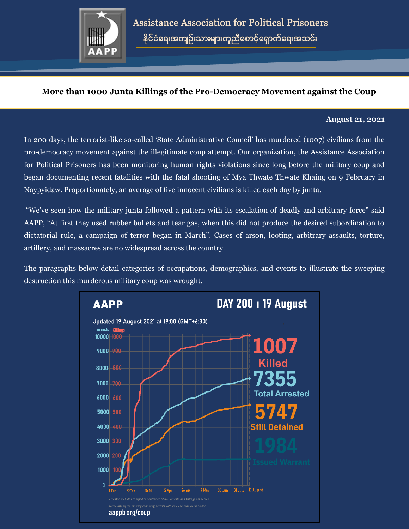

# More than 1000 Junta Killings of the Pro-Democracy Movement against the Coup

#### **August 21, 2021**

In 200 days, the terrorist-like so-called 'State Administrative Council' has murdered (1007) civilians from the pro-democracy movement against the illegitimate coup attempt. Our organization, the Assistance Association for Political Prisoners has been monitoring human rights violations since long before the military coup and began documenting recent fatalities with the fatal shooting of Mya Thwate Thwate Khaing on 9 February in Naypyidaw. Proportionately, an average of five innocent civilians is killed each day by junta.

"We've seen how the military junta followed a pattern with its escalation of deadly and arbitrary force" said AAPP, "At first they used rubber bullets and tear gas, when this did not produce the desired subordination to dictatorial rule, a campaign of terror began in March". Cases of arson, looting, arbitrary assaults, torture, artillery, and massacres are no widespread across the country.

The paragraphs below detail categories of occupations, demographics, and events to illustrate the sweeping destruction this murderous military coup was wrought.

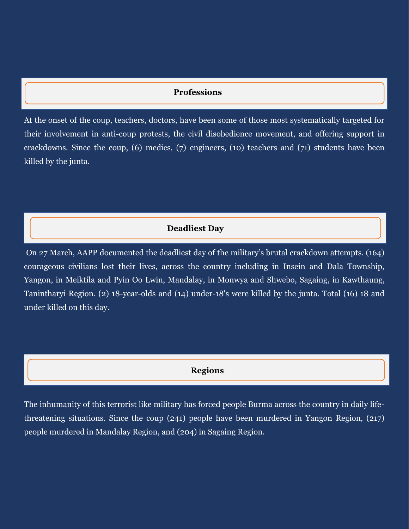### **Professions**

At the onset of the coup, teachers, doctors, have been some of those most systematically targeted for their involvement in anti-coup protests, the civil disobedience movement, and offering support in crackdowns. Since the coup, (6) medics, (7) engineers, (10) teachers and (71) students have been killed by the junta.

#### **Deadliest Day**

On 27 March, AAPP documented the deadliest day of the military's brutal crackdown attempts. (164) courageous civilians lost their lives, across the country including in Insein and Dala Township, Yangon, in Meiktila and Pyin Oo Lwin, Mandalay, in Monwya and Shwebo, Sagaing, in Kawthaung, Tanintharyi Region. (2) 18-year-olds and (14) under-18's were killed by the junta. Total (16) 18 and under killed on this day.

# **Regions**

The inhumanity of this terrorist like military has forced people Burma across the country in daily lifethreatening situations. Since the coup (241) people have been murdered in Yangon Region, (217) people murdered in Mandalay Region, and (204) in Sagaing Region.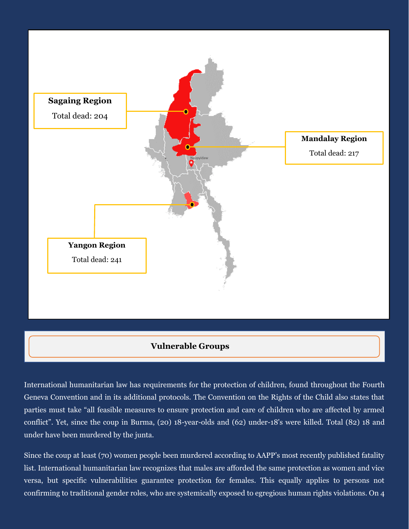

# **Vulnerable Groups**

International humanitarian law has requirements for the protection of children, found throughout the Fourth Geneva Convention and in its additional protocols. The Convention on the Rights of the Child also states that parties must take "all feasible measures to ensure protection and care of children who are affected by armed conflict". Yet, since the coup in Burma, (20) 18-year-olds and (62) under-18's were killed. Total (82) 18 and under have been murdered by the junta.

Since the coup at least (70) women people been murdered according to AAPP's most recently published fatality list. International humanitarian law recognizes that males are afforded the same protection as women and vice versa, but specific vulnerabilities guarantee protection for females. This equally applies to persons not confirming to traditional gender roles, who are systemically exposed to egregious human rights violations. On 4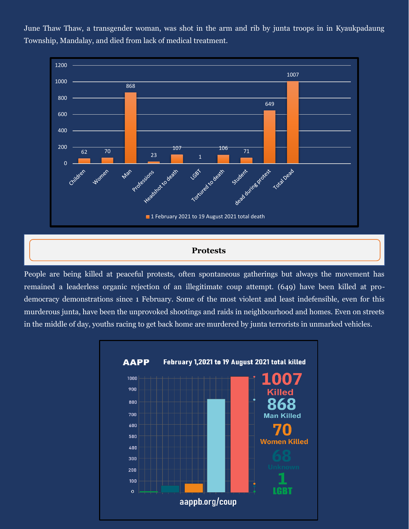June Thaw Thaw, a transgender woman, was shot in the arm and rib by junta troops in in Kyaukpadaung Township, Mandalay, and died from lack of medical treatment.



#### **Protests**

People are being killed at peaceful protests, often spontaneous gatherings but always the movement has remained a leaderless organic rejection of an illegitimate coup attempt. (649) have been killed at prodemocracy demonstrations since 1 February. Some of the most violent and least indefensible, even for this murderous junta, have been the unprovoked shootings and raids in neighbourhood and homes. Even on streets in the middle of day, youths racing to get back home are murdered b[y junta terrorists in unmarked vehicles.](https://twitter.com/aapp_burma/status/1375728313008726017?s=20)